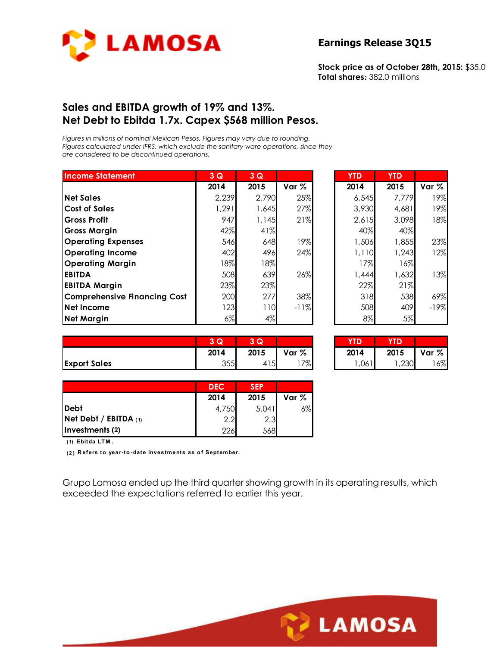

**Stock price as of October 28th, 2015:** \$35.0 **Total shares:** 382.0 millions

## **Sales and EBITDA growth of 19% and 13%. Net Debt to Ebitda 1.7x. Capex \$568 million Pesos.**

*Figures in millions of nominal Mexican Pesos. Figures may vary due to rounding. Figures calculated under IFRS, which exclude the sanitary ware operations, since they are considered to be discontinued operations.* 

| <b>Income Statement</b>             | 3Q     | 3Q    |         | <b>YTD</b> | <b>YTD</b> |        |
|-------------------------------------|--------|-------|---------|------------|------------|--------|
|                                     | 2014   | 2015  | Var $%$ | 2014       | 2015       | Var %  |
| <b>Net Sales</b>                    | 2,239  | 2,790 | 25%     | 6,545      | 7,779      | 19%    |
| <b>Cost of Sales</b>                | 1,291  | 1,645 | 27%     | 3,930      | 4,681      | 19%    |
| Gross Profit                        | 947    | 1,145 | 21%     | 2,615      | 3,098      | 18%    |
| <b>Gross Margin</b>                 | 42%    | 41%   |         | 40%        | 40%        |        |
| <b>Operating Expenses</b>           | 546    | 648   | 19%     | 1,506      | 1,855      | 23%    |
| <b>Operating Income</b>             | 402    | 496   | 24%     | 1,110      | 1,243      | 12%    |
| <b>Operating Margin</b>             | $18\%$ | 18%   |         | 17%        | 16%        |        |
| <b>EBITDA</b>                       | 508    | 639   | 26%     | 1,444      | 1,632      | 13%    |
| <b>EBITDA Margin</b>                | 23%    | 23%   |         | 22%        | 21%        |        |
| <b>Comprehensive Financing Cost</b> | 200    | 277   | 38%     | 318        | 538        | 69%    |
| Net Income                          | 123    | 110   | $-11%$  | 508        | 409        | $-19%$ |
| <b>Net Margin</b>                   | $6\%$  | 4%    |         | 8%         | 5%         |        |

| <b>YTD</b> | YTD   |        |
|------------|-------|--------|
| 2014       | 2015  | Var %  |
| 6,545      | 7,779 | 19%    |
| 3,930      | 4,681 | 19%    |
| 2,615      | 3,098 | 18%    |
| 40%        | 40%   |        |
| 1,506      | 1,855 | 23%    |
| 1,110      | 1,243 | 12%    |
| 17%        | 16%   |        |
| 1,444      | 1,632 | 13%    |
| 22%        | 21%   |        |
| 318        | 538   | 69%    |
| 508        | 409   | $-19%$ |
| 8%         | 5%    |        |

|                     | $\sim$<br>u | 3 Q               |       | YTD  | YID. |       |
|---------------------|-------------|-------------------|-------|------|------|-------|
|                     | 2014        | 2015              | Var % | 2014 | 2015 | Var % |
| <b>Export Sales</b> | 355         | 415 <b>1</b><br>4 | $7\%$ | ,061 | ,230 | 6%    |

| 3Q   | LQ.  |       | YTD. |      |       |
|------|------|-------|------|------|-------|
| 2014 | 2015 | Var % | 2014 | 2015 | Var % |
| 355  | 415  | 7%    | ,061 | ,230 | $6\%$ |

**LAMOSA** 

|                                | <b>DEC</b> | <b>SEP</b> |       |
|--------------------------------|------------|------------|-------|
|                                | 2014       | 2015       | Var % |
| <b>IDebt</b>                   | 4,750      | 5,041      | 6%    |
| <b>Net Debt / EBITDA</b> $(1)$ | 2.2        | 2.3        |       |
| Investments (2)                | 226        | 568        |       |

**( 1) Ebitda LT M .**

**( 2 ) R efers to year-to -date investments as o f September.**

Grupo Lamosa ended up the third quarter showing growth in its operating results, which exceeded the expectations referred to earlier this year.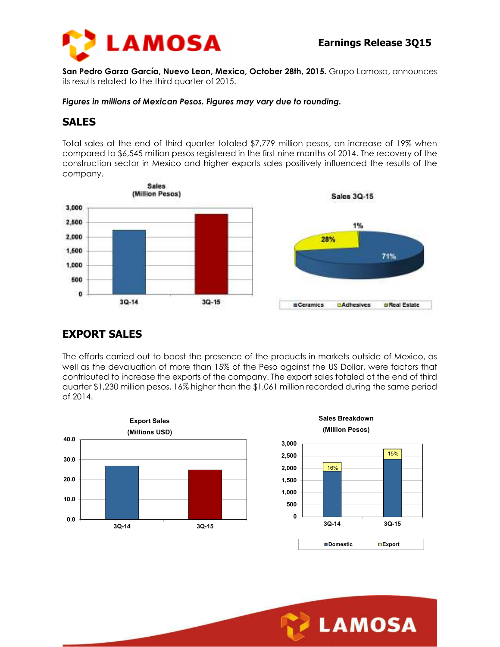

**San Pedro Garza García, Nuevo Leon, Mexico, October 28th, 2015.** Grupo Lamosa, announces its results related to the third quarter of 2015.

*Figures in millions of Mexican Pesos. Figures may vary due to rounding.* 

## **SALES**

Total sales at the end of third quarter totaled \$7,779 million pesos, an increase of 19% when compared to \$6,545 million pesos registered in the first nine months of 2014. The recovery of the construction sector in Mexico and higher exports sales positively influenced the results of the company.



# **EXPORT SALES**

The efforts carried out to boost the presence of the products in markets outside of Mexico, as well as the devaluation of more than 15% of the Peso against the US Dollar, were factors that contributed to increase the exports of the company. The export sales totaled at the end of third quarter \$1,230 million pesos, 16% higher than the \$1,061 million recorded during the same period of 2014.



**Sales Breakdown (Million Pesos)**



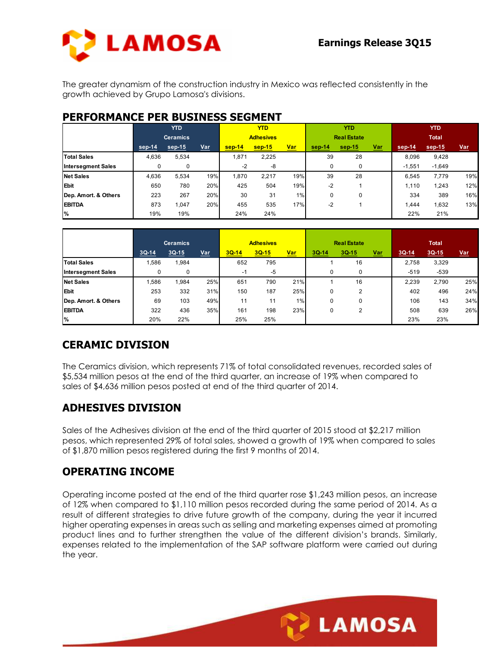

The greater dynamism of the construction industry in Mexico was reflected consistently in the growth achieved by Grupo Lamosa's divisions.

## **PERFORMANCE PER BUSINESS SEGMENT**

|                           | <b>YTD</b>      |          |     | <b>YTD</b>       |          |            | YTD.               |          |            | <b>YTD</b>   |          |            |
|---------------------------|-----------------|----------|-----|------------------|----------|------------|--------------------|----------|------------|--------------|----------|------------|
|                           | <b>Ceramics</b> |          |     | <b>Adhesives</b> |          |            | <b>Real Estate</b> |          |            | <b>Total</b> |          |            |
|                           | sep-14          | $sep-15$ | Var | $sep-14$         | $sep-15$ | <u>Var</u> | sep-14             | $sep-15$ | <u>Var</u> | sep-14       | sep-15   | <u>Var</u> |
| <b>Total Sales</b>        | 4,636           | 5,534    |     | 1,871            | 2,225    |            | 39                 | 28       |            | 8,096        | 9,428    |            |
| <b>Intersegment Sales</b> |                 | 0        |     | $-2$             | -8       |            | 0                  | $\Omega$ |            | $-1,551$     | $-1,649$ |            |
| <b>Net Sales</b>          | 4,636           | 5,534    | 19% | 1.870            | 2,217    | 19%        | 39                 | 28       |            | 6.545        | 7,779    | 19%        |
| Ebit                      | 650             | 780      | 20% | 425              | 504      | 19%        | -2                 |          |            | 1,110        | 1,243    | 12%        |
| Dep. Amort. & Others      | 223             | 267      | 20% | 30               | 31       | 1%         | 0                  | $\Omega$ |            | 334          | 389      | 16%        |
| <b>EBITDA</b>             | 873             | 1,047    | 20% | 455              | 535      | 17%        | $-2$               |          |            | 1.444        | 1,632    | 13%        |
| $\frac{9}{6}$             | 19%             | 19%      |     | 24%              | 24%      |            |                    |          |            | 22%          | 21%      |            |

|                           | <b>Ceramics</b> |         |     | <b>Adhesives</b> |         |            | <b>Real Estate</b> |             |            | <b>Total</b> |         |            |
|---------------------------|-----------------|---------|-----|------------------|---------|------------|--------------------|-------------|------------|--------------|---------|------------|
|                           | $3Q-14$         | $3Q-15$ | Var | $3Q-14$          | $3Q-15$ | <u>Var</u> | $3Q-14$            | 3Q-15       | <u>Var</u> | $3Q-14$      | $3Q-15$ | <u>Var</u> |
| <b>Total Sales</b>        | .586            | 1,984   |     | 652              | 795     |            |                    | 16          |            | 2.758        | 3,329   |            |
| <b>Intersegment Sales</b> |                 | 0       |     | -1               | -5      |            | 0                  | $\mathbf 0$ |            | $-519$       | -539    |            |
| <b>Net Sales</b>          | .586            | .984    | 25% | 651              | 790     | 21%        |                    | 16          |            | 2.239        | 2.790   | 25%        |
| <b>Ebit</b>               | 253             | 332     | 31% | 150              | 187     | 25%        | 0                  | 2           |            | 402          | 496     | 24%        |
| Dep. Amort. & Others      | 69              | 103     | 49% | 11               | 11      | 1%         | 0                  | 0           |            | 106          | 143     | 34%        |
| <b>EBITDA</b>             | 322             | 436     | 35% | 161              | 198     | 23%        | 0                  | 2           |            | 508          | 639     | 26%        |
| %                         | 20%             | 22%     |     | 25%              | 25%     |            |                    |             |            | 23%          | 23%     |            |

# **CERAMIC DIVISION**

The Ceramics division, which represents 71% of total consolidated revenues, recorded sales of \$5,534 million pesos at the end of the third quarter, an increase of 19% when compared to sales of \$4,636 million pesos posted at end of the third quarter of 2014.

# **ADHESIVES DIVISION**

Sales of the Adhesives division at the end of the third quarter of 2015 stood at \$2,217 million pesos, which represented 29% of total sales, showed a growth of 19% when compared to sales of \$1,870 million pesos registered during the first 9 months of 2014.

# **OPERATING INCOME**

Operating income posted at the end of the third quarter rose \$1,243 million pesos, an increase of 12% when compared to \$1,110 million pesos recorded during the same period of 2014. As a result of different strategies to drive future growth of the company, during the year it incurred higher operating expenses in areas such as selling and marketing expenses aimed at promoting product lines and to further strengthen the value of the different division's brands. Similarly, expenses related to the implementation of the SAP software platform were carried out during the year.

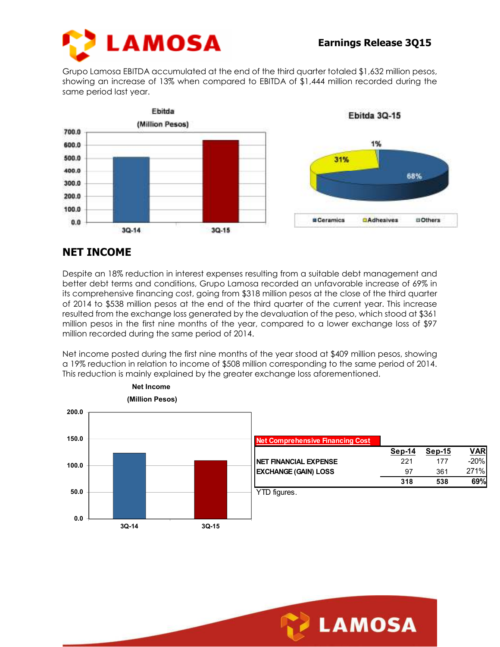

Grupo Lamosa EBITDA accumulated at the end of the third quarter totaled \$1,632 million pesos, showing an increase of 13% when compared to EBITDA of \$1,444 million recorded during the same period last year.



# **NET INCOME**

Despite an 18% reduction in interest expenses resulting from a suitable debt management and better debt terms and conditions, Grupo Lamosa recorded an unfavorable increase of 69% in its comprehensive financing cost, going from \$318 million pesos at the close of the third quarter of 2014 to \$538 million pesos at the end of the third quarter of the current year. This increase resulted from the exchange loss generated by the devaluation of the peso, which stood at \$361 million pesos in the first nine months of the year, compared to a lower exchange loss of \$97 million recorded during the same period of 2014.

Net income posted during the first nine months of the year stood at \$409 million pesos, showing a 19% reduction in relation to income of \$508 million corresponding to the same period of 2014. This reduction is mainly explained by the greater exchange loss aforementioned.



| Sep-14 | Sep-15 | <b>VAR</b> |
|--------|--------|------------|
| 221    | 177    | $-20\%$    |
| 97     | 361    | 271%       |
| 318    | 538    | 69%        |
|        |        |            |

YTD figures.